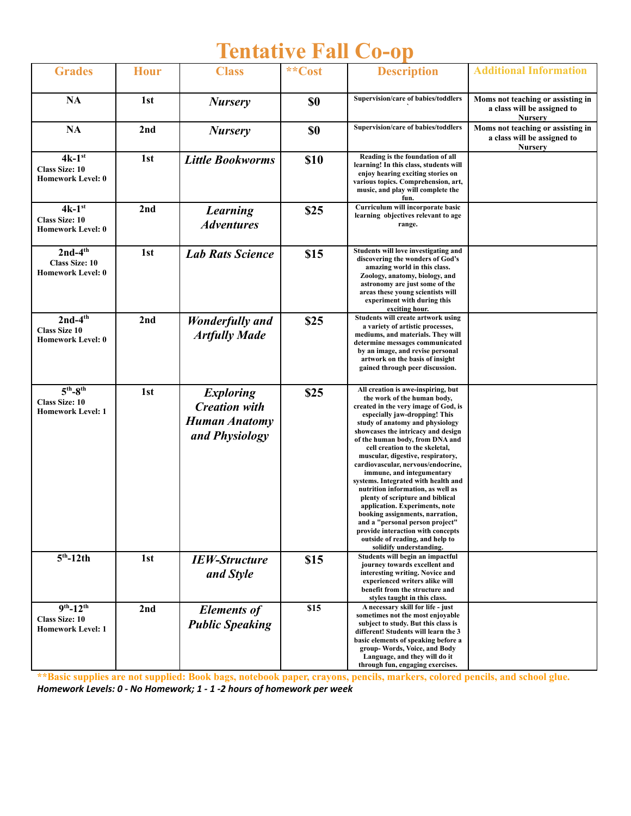## **Tentative Fall Co-op**

| <b>Grades</b>                                                           | <b>Hour</b> | <b>Class</b>                                                                       | **Cost    | <b>Description</b>                                                                                                                                                                                                                                                                                                                                                                                                                                                                                                                                                                                                                                                                                                          | <b>Additional Information</b>                                                      |
|-------------------------------------------------------------------------|-------------|------------------------------------------------------------------------------------|-----------|-----------------------------------------------------------------------------------------------------------------------------------------------------------------------------------------------------------------------------------------------------------------------------------------------------------------------------------------------------------------------------------------------------------------------------------------------------------------------------------------------------------------------------------------------------------------------------------------------------------------------------------------------------------------------------------------------------------------------------|------------------------------------------------------------------------------------|
| NA                                                                      | 1st         | <b>Nursery</b>                                                                     | \$0       | Supervision/care of babies/toddlers                                                                                                                                                                                                                                                                                                                                                                                                                                                                                                                                                                                                                                                                                         | Moms not teaching or assisting in<br>a class will be assigned to<br><b>Nursery</b> |
| NA                                                                      | 2nd         | <b>Nursery</b>                                                                     | <b>SO</b> | Supervision/care of babies/toddlers                                                                                                                                                                                                                                                                                                                                                                                                                                                                                                                                                                                                                                                                                         | Moms not teaching or assisting in<br>a class will be assigned to<br><b>Nursery</b> |
| $4k-1$ st<br><b>Class Size: 10</b><br><b>Homework Level: 0</b>          | 1st         | <b>Little Bookworms</b>                                                            | \$10      | Reading is the foundation of all<br>learning! In this class, students will<br>enjoy hearing exciting stories on<br>various topics. Comprehension, art,<br>music, and play will complete the<br>fun.                                                                                                                                                                                                                                                                                                                                                                                                                                                                                                                         |                                                                                    |
| $4k-1$ st<br><b>Class Size: 10</b><br><b>Homework Level: 0</b>          | 2nd         | <b>Learning</b><br><b>Adventures</b>                                               | \$25      | Curriculum will incorporate basic<br>learning objectives relevant to age<br>range.                                                                                                                                                                                                                                                                                                                                                                                                                                                                                                                                                                                                                                          |                                                                                    |
| $2nd-4th$<br><b>Class Size: 10</b><br><b>Homework Level: 0</b>          | 1st         | <b>Lab Rats Science</b>                                                            | \$15      | Students will love investigating and<br>discovering the wonders of God's<br>amazing world in this class.<br>Zoology, anatomy, biology, and<br>astronomy are just some of the<br>areas these young scientists will<br>experiment with during this<br>exciting hour.                                                                                                                                                                                                                                                                                                                                                                                                                                                          |                                                                                    |
| $2nd-4th$<br><b>Class Size 10</b><br><b>Homework Level: 0</b>           | 2nd         | <b>Wonderfully</b> and<br><b>Artfully Made</b>                                     | \$25      | Students will create artwork using<br>a variety of artistic processes,<br>mediums, and materials. They will<br>determine messages communicated<br>by an image, and revise personal<br>artwork on the basis of insight<br>gained through peer discussion.                                                                                                                                                                                                                                                                                                                                                                                                                                                                    |                                                                                    |
| $5th-8th$<br><b>Class Size: 10</b><br><b>Homework Level: 1</b>          | 1st         | <b>Exploring</b><br><b>Creation with</b><br><b>Human Anatomy</b><br>and Physiology | \$25      | All creation is awe-inspiring, but<br>the work of the human body,<br>created in the very image of God, is<br>especially jaw-dropping! This<br>study of anatomy and physiology<br>showcases the intricacy and design<br>of the human body, from DNA and<br>cell creation to the skeletal,<br>muscular, digestive, respiratory,<br>cardiovascular, nervous/endocrine,<br>immune, and integumentary<br>systems. Integrated with health and<br>nutrition information, as well as<br>plenty of scripture and biblical<br>application. Experiments, note<br>booking assignments, narration,<br>and a "personal person project"<br>provide interaction with concepts<br>outside of reading, and help to<br>solidify understanding. |                                                                                    |
| $5th - 12th$                                                            | 1st         | <b>IEW-Structure</b><br>and Style                                                  | \$15      | Students will begin an impactful<br>journey towards excellent and<br>interesting writing. Novice and<br>experienced writers alike will<br>benefit from the structure and<br>styles taught in this class.                                                                                                                                                                                                                                                                                                                                                                                                                                                                                                                    |                                                                                    |
| $9^{th} - 12^{th}$<br><b>Class Size: 10</b><br><b>Homework Level: 1</b> | 2nd         | <b>Elements of</b><br><b>Public Speaking</b>                                       | \$15      | A necessary skill for life - just<br>sometimes not the most enjoyable<br>subject to study. But this class is<br>different! Students will learn the 3<br>basic elements of speaking before a<br>group-Words, Voice, and Body<br>Language, and they will do it<br>through fun, engaging exercises.                                                                                                                                                                                                                                                                                                                                                                                                                            |                                                                                    |

\*\* Basic supplies are not supplied: Book bags, notebook paper, crayons, pencils, markers, colored pencils, and school glue. *Homework Levels: 0 - No Homework; 1 - 1 -2 hours of homework per week*